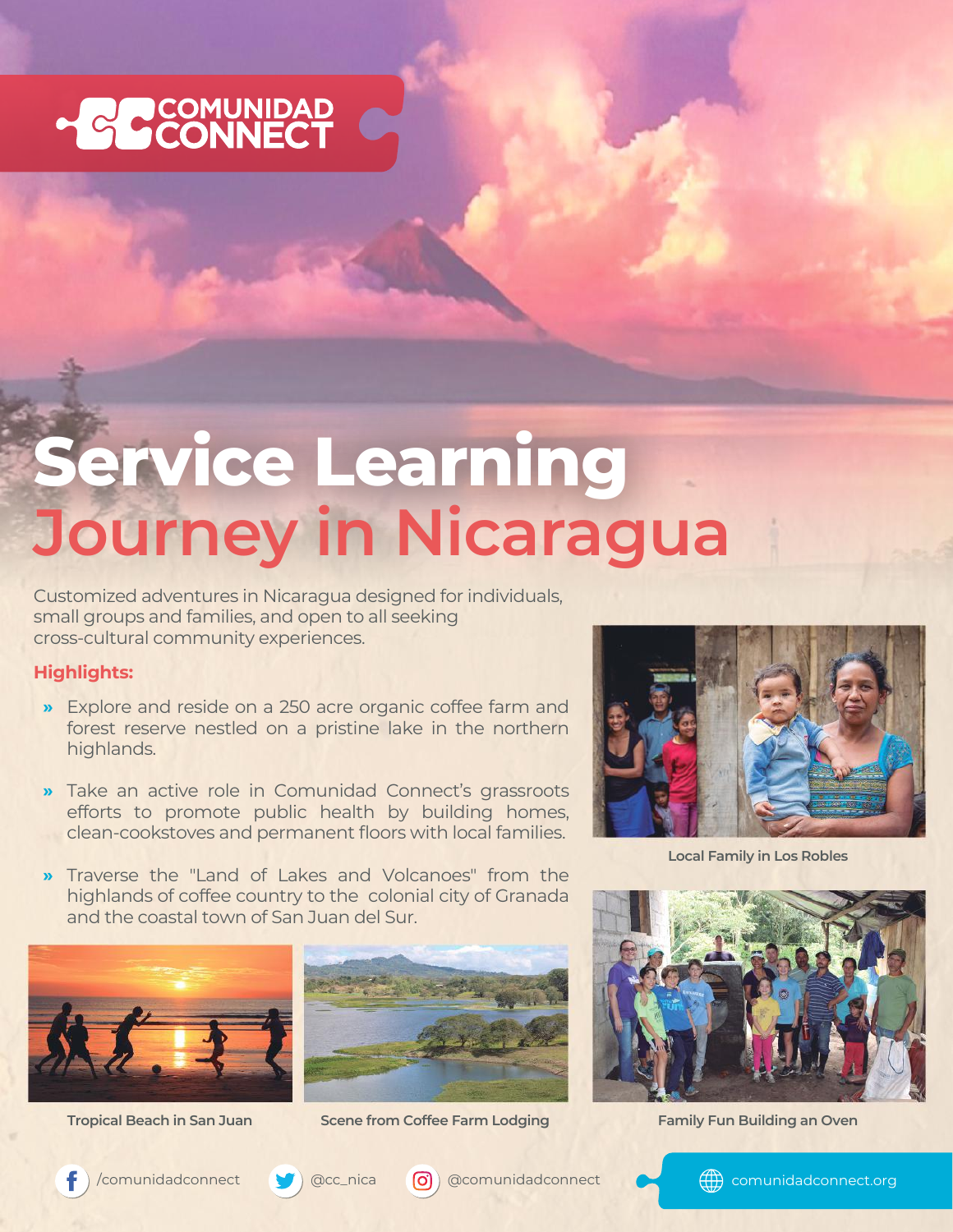

## **Service Learning Journey in Nicaragua**

Customized adventures in Nicaragua designed for individuals, small groups and families, and open to all seeking cross-cultural community experiences.

## **Highlights:**

- Explore and reside on a 250 acre organic coffee farm and **»** forest reserve nestled on a pristine lake in the northern highlands.
- Take an active role in Comunidad Connect's grassroots **»** efforts to promote public health by building homes, clean-cookstoves and permanent floors with local families.
- Traverse the "Land of Lakes and Volcanoes" from the highlands of coffee country to the colonial city of Granada and the coastal town of San Juan del Sur. **»**





**Tropical Beach in San Juan Scene from Coffee Farm Lodging Family Fun Building an Oven**



**Local Family in Los Robles**